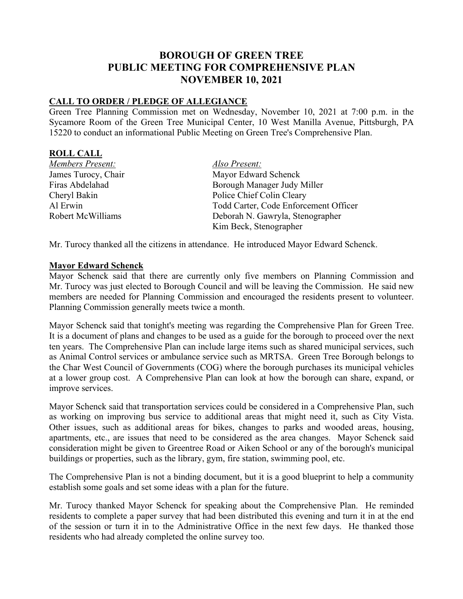# **BOROUGH OF GREEN TREE PUBLIC MEETING FOR COMPREHENSIVE PLAN NOVEMBER 10, 2021**

### **CALL TO ORDER / PLEDGE OF ALLEGIANCE**

Green Tree Planning Commission met on Wednesday, November 10, 2021 at 7:00 p.m. in the Sycamore Room of the Green Tree Municipal Center, 10 West Manilla Avenue, Pittsburgh, PA 15220 to conduct an informational Public Meeting on Green Tree's Comprehensive Plan.

#### **ROLL CALL**

*Members Present: Also Present:* James Turocy, Chair Mayor Edward Schenck Cheryl Bakin Police Chief Colin Cleary

Firas Abdelahad Borough Manager Judy Miller Al Erwin Todd Carter, Code Enforcement Officer Robert McWilliams Deborah N. Gawryla, Stenographer Kim Beck, Stenographer

Mr. Turocy thanked all the citizens in attendance. He introduced Mayor Edward Schenck.

#### **Mayor Edward Schenck**

Mayor Schenck said that there are currently only five members on Planning Commission and Mr. Turocy was just elected to Borough Council and will be leaving the Commission. He said new members are needed for Planning Commission and encouraged the residents present to volunteer. Planning Commission generally meets twice a month.

Mayor Schenck said that tonight's meeting was regarding the Comprehensive Plan for Green Tree. It is a document of plans and changes to be used as a guide for the borough to proceed over the next ten years. The Comprehensive Plan can include large items such as shared municipal services, such as Animal Control services or ambulance service such as MRTSA. Green Tree Borough belongs to the Char West Council of Governments (COG) where the borough purchases its municipal vehicles at a lower group cost. A Comprehensive Plan can look at how the borough can share, expand, or improve services.

Mayor Schenck said that transportation services could be considered in a Comprehensive Plan, such as working on improving bus service to additional areas that might need it, such as City Vista. Other issues, such as additional areas for bikes, changes to parks and wooded areas, housing, apartments, etc., are issues that need to be considered as the area changes. Mayor Schenck said consideration might be given to Greentree Road or Aiken School or any of the borough's municipal buildings or properties, such as the library, gym, fire station, swimming pool, etc.

The Comprehensive Plan is not a binding document, but it is a good blueprint to help a community establish some goals and set some ideas with a plan for the future.

Mr. Turocy thanked Mayor Schenck for speaking about the Comprehensive Plan. He reminded residents to complete a paper survey that had been distributed this evening and turn it in at the end of the session or turn it in to the Administrative Office in the next few days. He thanked those residents who had already completed the online survey too.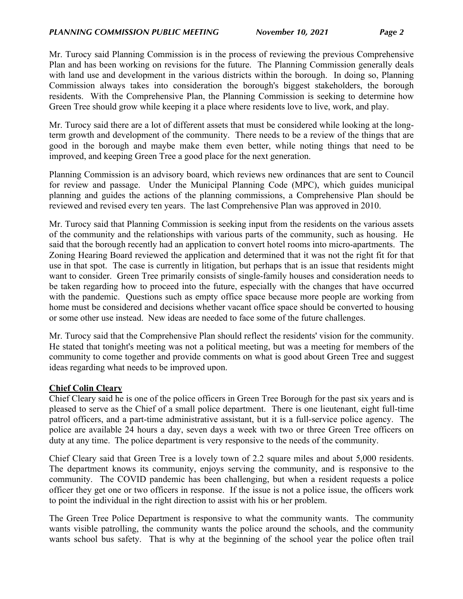Mr. Turocy said Planning Commission is in the process of reviewing the previous Comprehensive Plan and has been working on revisions for the future. The Planning Commission generally deals with land use and development in the various districts within the borough. In doing so, Planning Commission always takes into consideration the borough's biggest stakeholders, the borough residents. With the Comprehensive Plan, the Planning Commission is seeking to determine how Green Tree should grow while keeping it a place where residents love to live, work, and play.

Mr. Turocy said there are a lot of different assets that must be considered while looking at the longterm growth and development of the community. There needs to be a review of the things that are good in the borough and maybe make them even better, while noting things that need to be improved, and keeping Green Tree a good place for the next generation.

Planning Commission is an advisory board, which reviews new ordinances that are sent to Council for review and passage. Under the Municipal Planning Code (MPC), which guides municipal planning and guides the actions of the planning commissions, a Comprehensive Plan should be reviewed and revised every ten years. The last Comprehensive Plan was approved in 2010.

Mr. Turocy said that Planning Commission is seeking input from the residents on the various assets of the community and the relationships with various parts of the community, such as housing. He said that the borough recently had an application to convert hotel rooms into micro-apartments. The Zoning Hearing Board reviewed the application and determined that it was not the right fit for that use in that spot. The case is currently in litigation, but perhaps that is an issue that residents might want to consider. Green Tree primarily consists of single-family houses and consideration needs to be taken regarding how to proceed into the future, especially with the changes that have occurred with the pandemic. Questions such as empty office space because more people are working from home must be considered and decisions whether vacant office space should be converted to housing or some other use instead. New ideas are needed to face some of the future challenges.

Mr. Turocy said that the Comprehensive Plan should reflect the residents' vision for the community. He stated that tonight's meeting was not a political meeting, but was a meeting for members of the community to come together and provide comments on what is good about Green Tree and suggest ideas regarding what needs to be improved upon.

## **Chief Colin Cleary**

Chief Cleary said he is one of the police officers in Green Tree Borough for the past six years and is pleased to serve as the Chief of a small police department. There is one lieutenant, eight full-time patrol officers, and a part-time administrative assistant, but it is a full-service police agency. The police are available 24 hours a day, seven days a week with two or three Green Tree officers on duty at any time. The police department is very responsive to the needs of the community.

Chief Cleary said that Green Tree is a lovely town of 2.2 square miles and about 5,000 residents. The department knows its community, enjoys serving the community, and is responsive to the community. The COVID pandemic has been challenging, but when a resident requests a police officer they get one or two officers in response. If the issue is not a police issue, the officers work to point the individual in the right direction to assist with his or her problem.

The Green Tree Police Department is responsive to what the community wants. The community wants visible patrolling, the community wants the police around the schools, and the community wants school bus safety. That is why at the beginning of the school year the police often trail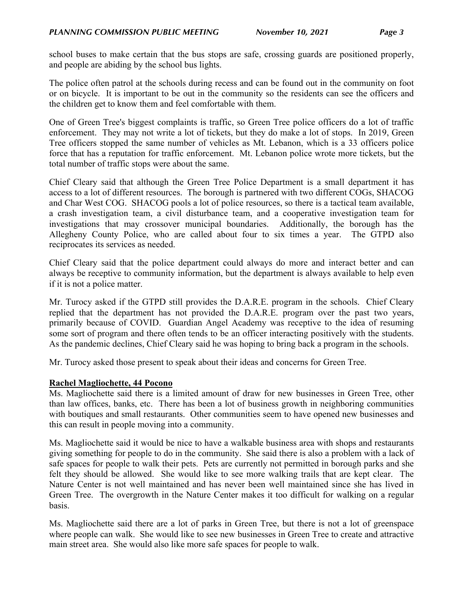school buses to make certain that the bus stops are safe, crossing guards are positioned properly, and people are abiding by the school bus lights.

The police often patrol at the schools during recess and can be found out in the community on foot or on bicycle. It is important to be out in the community so the residents can see the officers and the children get to know them and feel comfortable with them.

One of Green Tree's biggest complaints is traffic, so Green Tree police officers do a lot of traffic enforcement. They may not write a lot of tickets, but they do make a lot of stops. In 2019, Green Tree officers stopped the same number of vehicles as Mt. Lebanon, which is a 33 officers police force that has a reputation for traffic enforcement. Mt. Lebanon police wrote more tickets, but the total number of traffic stops were about the same.

Chief Cleary said that although the Green Tree Police Department is a small department it has access to a lot of different resources. The borough is partnered with two different COGs, SHACOG and Char West COG. SHACOG pools a lot of police resources, so there is a tactical team available, a crash investigation team, a civil disturbance team, and a cooperative investigation team for investigations that may crossover municipal boundaries. Additionally, the borough has the Allegheny County Police, who are called about four to six times a year. The GTPD also reciprocates its services as needed.

Chief Cleary said that the police department could always do more and interact better and can always be receptive to community information, but the department is always available to help even if it is not a police matter.

Mr. Turocy asked if the GTPD still provides the D.A.R.E. program in the schools. Chief Cleary replied that the department has not provided the D.A.R.E. program over the past two years, primarily because of COVID. Guardian Angel Academy was receptive to the idea of resuming some sort of program and there often tends to be an officer interacting positively with the students. As the pandemic declines, Chief Cleary said he was hoping to bring back a program in the schools.

Mr. Turocy asked those present to speak about their ideas and concerns for Green Tree.

#### **Rachel Magliochette, 44 Pocono**

Ms. Magliochette said there is a limited amount of draw for new businesses in Green Tree, other than law offices, banks, etc. There has been a lot of business growth in neighboring communities with boutiques and small restaurants. Other communities seem to have opened new businesses and this can result in people moving into a community.

Ms. Magliochette said it would be nice to have a walkable business area with shops and restaurants giving something for people to do in the community. She said there is also a problem with a lack of safe spaces for people to walk their pets. Pets are currently not permitted in borough parks and she felt they should be allowed. She would like to see more walking trails that are kept clear. The Nature Center is not well maintained and has never been well maintained since she has lived in Green Tree. The overgrowth in the Nature Center makes it too difficult for walking on a regular basis.

Ms. Magliochette said there are a lot of parks in Green Tree, but there is not a lot of greenspace where people can walk. She would like to see new businesses in Green Tree to create and attractive main street area. She would also like more safe spaces for people to walk.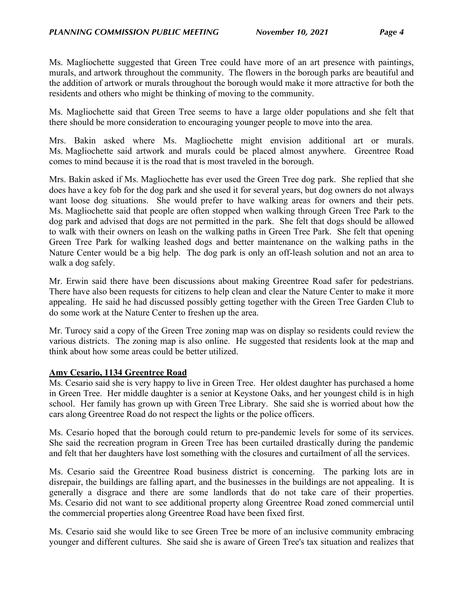Ms. Magliochette suggested that Green Tree could have more of an art presence with paintings, murals, and artwork throughout the community. The flowers in the borough parks are beautiful and the addition of artwork or murals throughout the borough would make it more attractive for both the residents and others who might be thinking of moving to the community.

Ms. Magliochette said that Green Tree seems to have a large older populations and she felt that there should be more consideration to encouraging younger people to move into the area.

Mrs. Bakin asked where Ms. Magliochette might envision additional art or murals. Ms. Magliochette said artwork and murals could be placed almost anywhere. Greentree Road comes to mind because it is the road that is most traveled in the borough.

Mrs. Bakin asked if Ms. Magliochette has ever used the Green Tree dog park. She replied that she does have a key fob for the dog park and she used it for several years, but dog owners do not always want loose dog situations. She would prefer to have walking areas for owners and their pets. Ms. Magliochette said that people are often stopped when walking through Green Tree Park to the dog park and advised that dogs are not permitted in the park. She felt that dogs should be allowed to walk with their owners on leash on the walking paths in Green Tree Park. She felt that opening Green Tree Park for walking leashed dogs and better maintenance on the walking paths in the Nature Center would be a big help. The dog park is only an off-leash solution and not an area to walk a dog safely.

Mr. Erwin said there have been discussions about making Greentree Road safer for pedestrians. There have also been requests for citizens to help clean and clear the Nature Center to make it more appealing. He said he had discussed possibly getting together with the Green Tree Garden Club to do some work at the Nature Center to freshen up the area.

Mr. Turocy said a copy of the Green Tree zoning map was on display so residents could review the various districts. The zoning map is also online. He suggested that residents look at the map and think about how some areas could be better utilized.

#### **Amy Cesario, 1134 Greentree Road**

Ms. Cesario said she is very happy to live in Green Tree. Her oldest daughter has purchased a home in Green Tree. Her middle daughter is a senior at Keystone Oaks, and her youngest child is in high school. Her family has grown up with Green Tree Library. She said she is worried about how the cars along Greentree Road do not respect the lights or the police officers.

Ms. Cesario hoped that the borough could return to pre-pandemic levels for some of its services. She said the recreation program in Green Tree has been curtailed drastically during the pandemic and felt that her daughters have lost something with the closures and curtailment of all the services.

Ms. Cesario said the Greentree Road business district is concerning. The parking lots are in disrepair, the buildings are falling apart, and the businesses in the buildings are not appealing. It is generally a disgrace and there are some landlords that do not take care of their properties. Ms. Cesario did not want to see additional property along Greentree Road zoned commercial until the commercial properties along Greentree Road have been fixed first.

Ms. Cesario said she would like to see Green Tree be more of an inclusive community embracing younger and different cultures. She said she is aware of Green Tree's tax situation and realizes that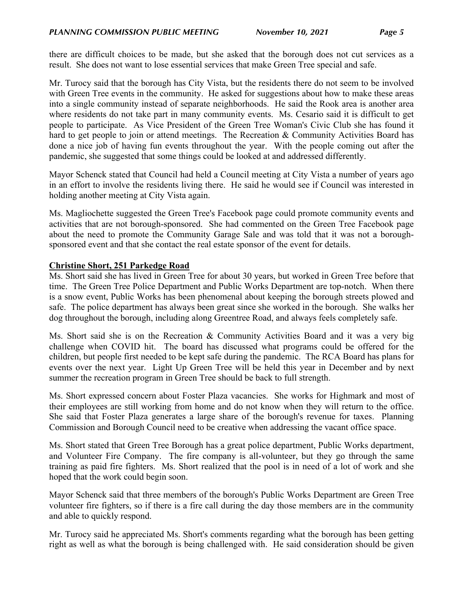there are difficult choices to be made, but she asked that the borough does not cut services as a result. She does not want to lose essential services that make Green Tree special and safe.

Mr. Turocy said that the borough has City Vista, but the residents there do not seem to be involved with Green Tree events in the community. He asked for suggestions about how to make these areas into a single community instead of separate neighborhoods. He said the Rook area is another area where residents do not take part in many community events. Ms. Cesario said it is difficult to get people to participate. As Vice President of the Green Tree Woman's Civic Club she has found it hard to get people to join or attend meetings. The Recreation & Community Activities Board has done a nice job of having fun events throughout the year. With the people coming out after the pandemic, she suggested that some things could be looked at and addressed differently.

Mayor Schenck stated that Council had held a Council meeting at City Vista a number of years ago in an effort to involve the residents living there. He said he would see if Council was interested in holding another meeting at City Vista again.

Ms. Magliochette suggested the Green Tree's Facebook page could promote community events and activities that are not borough-sponsored. She had commented on the Green Tree Facebook page about the need to promote the Community Garage Sale and was told that it was not a boroughsponsored event and that she contact the real estate sponsor of the event for details.

## **Christine Short, 251 Parkedge Road**

Ms. Short said she has lived in Green Tree for about 30 years, but worked in Green Tree before that time. The Green Tree Police Department and Public Works Department are top-notch. When there is a snow event, Public Works has been phenomenal about keeping the borough streets plowed and safe. The police department has always been great since she worked in the borough. She walks her dog throughout the borough, including along Greentree Road, and always feels completely safe.

Ms. Short said she is on the Recreation & Community Activities Board and it was a very big challenge when COVID hit. The board has discussed what programs could be offered for the children, but people first needed to be kept safe during the pandemic. The RCA Board has plans for events over the next year. Light Up Green Tree will be held this year in December and by next summer the recreation program in Green Tree should be back to full strength.

Ms. Short expressed concern about Foster Plaza vacancies. She works for Highmark and most of their employees are still working from home and do not know when they will return to the office. She said that Foster Plaza generates a large share of the borough's revenue for taxes. Planning Commission and Borough Council need to be creative when addressing the vacant office space.

Ms. Short stated that Green Tree Borough has a great police department, Public Works department, and Volunteer Fire Company. The fire company is all-volunteer, but they go through the same training as paid fire fighters. Ms. Short realized that the pool is in need of a lot of work and she hoped that the work could begin soon.

Mayor Schenck said that three members of the borough's Public Works Department are Green Tree volunteer fire fighters, so if there is a fire call during the day those members are in the community and able to quickly respond.

Mr. Turocy said he appreciated Ms. Short's comments regarding what the borough has been getting right as well as what the borough is being challenged with. He said consideration should be given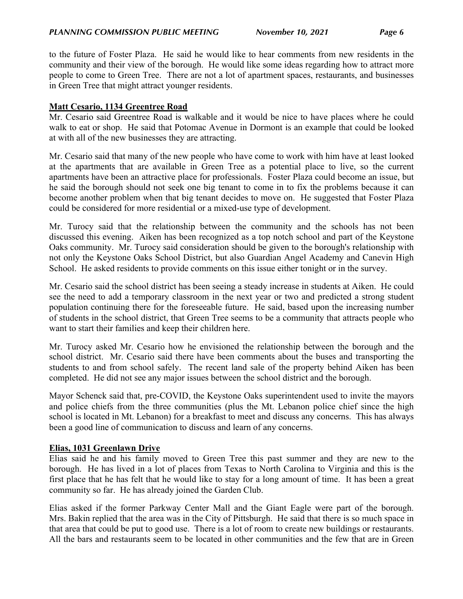to the future of Foster Plaza. He said he would like to hear comments from new residents in the community and their view of the borough. He would like some ideas regarding how to attract more people to come to Green Tree. There are not a lot of apartment spaces, restaurants, and businesses in Green Tree that might attract younger residents.

## **Matt Cesario, 1134 Greentree Road**

Mr. Cesario said Greentree Road is walkable and it would be nice to have places where he could walk to eat or shop. He said that Potomac Avenue in Dormont is an example that could be looked at with all of the new businesses they are attracting.

Mr. Cesario said that many of the new people who have come to work with him have at least looked at the apartments that are available in Green Tree as a potential place to live, so the current apartments have been an attractive place for professionals. Foster Plaza could become an issue, but he said the borough should not seek one big tenant to come in to fix the problems because it can become another problem when that big tenant decides to move on. He suggested that Foster Plaza could be considered for more residential or a mixed-use type of development.

Mr. Turocy said that the relationship between the community and the schools has not been discussed this evening. Aiken has been recognized as a top notch school and part of the Keystone Oaks community. Mr. Turocy said consideration should be given to the borough's relationship with not only the Keystone Oaks School District, but also Guardian Angel Academy and Canevin High School. He asked residents to provide comments on this issue either tonight or in the survey.

Mr. Cesario said the school district has been seeing a steady increase in students at Aiken. He could see the need to add a temporary classroom in the next year or two and predicted a strong student population continuing there for the foreseeable future. He said, based upon the increasing number of students in the school district, that Green Tree seems to be a community that attracts people who want to start their families and keep their children here.

Mr. Turocy asked Mr. Cesario how he envisioned the relationship between the borough and the school district. Mr. Cesario said there have been comments about the buses and transporting the students to and from school safely. The recent land sale of the property behind Aiken has been completed. He did not see any major issues between the school district and the borough.

Mayor Schenck said that, pre-COVID, the Keystone Oaks superintendent used to invite the mayors and police chiefs from the three communities (plus the Mt. Lebanon police chief since the high school is located in Mt. Lebanon) for a breakfast to meet and discuss any concerns. This has always been a good line of communication to discuss and learn of any concerns.

## **Elias, 1031 Greenlawn Drive**

Elias said he and his family moved to Green Tree this past summer and they are new to the borough. He has lived in a lot of places from Texas to North Carolina to Virginia and this is the first place that he has felt that he would like to stay for a long amount of time. It has been a great community so far. He has already joined the Garden Club.

Elias asked if the former Parkway Center Mall and the Giant Eagle were part of the borough. Mrs. Bakin replied that the area was in the City of Pittsburgh. He said that there is so much space in that area that could be put to good use. There is a lot of room to create new buildings or restaurants. All the bars and restaurants seem to be located in other communities and the few that are in Green